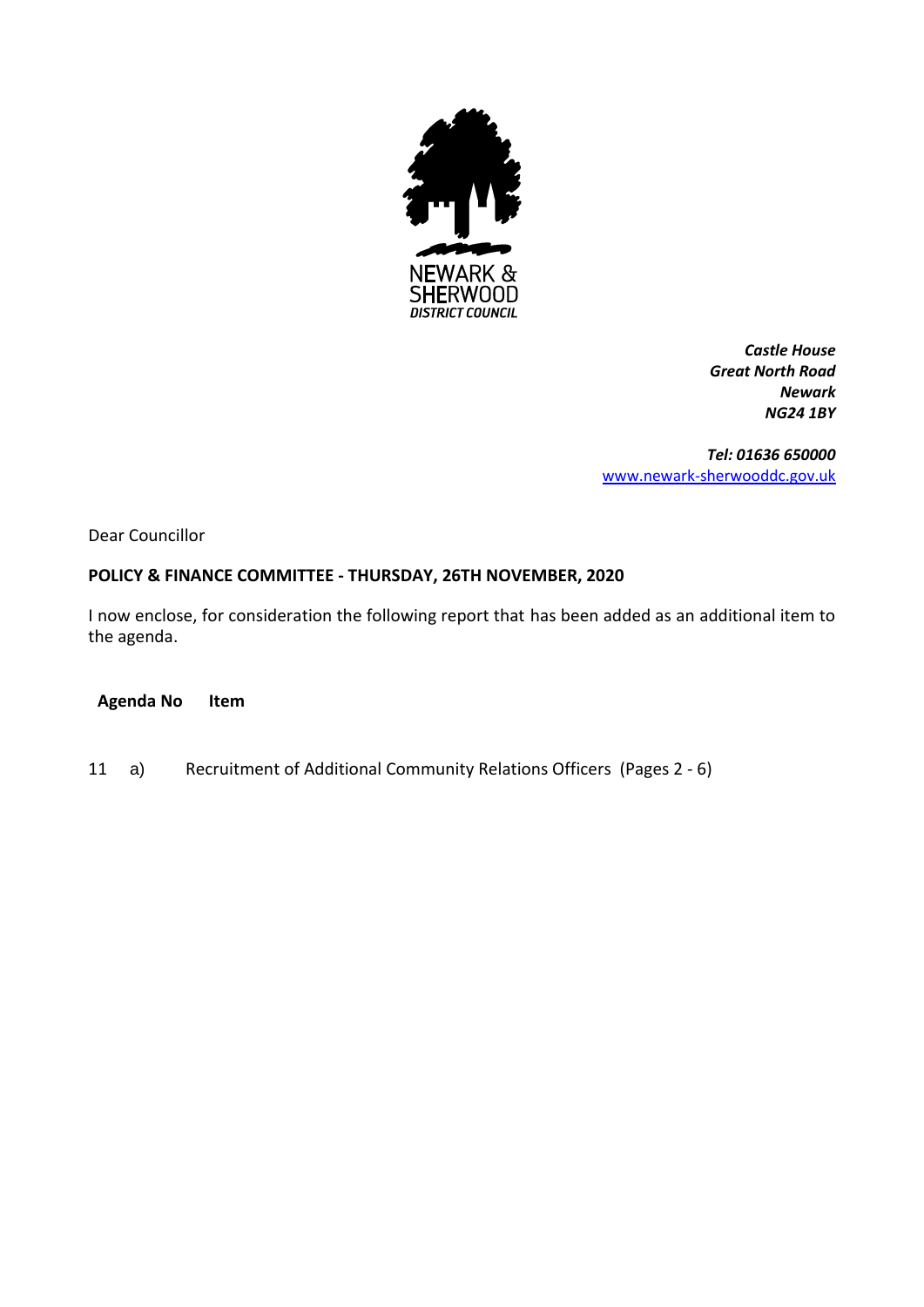

*Castle House Great North Road Newark NG24 1BY*

*Tel: 01636 650000* [www.newark-sherwooddc.gov.uk](http://www.newark-sherwooddc.gov.uk/)

Dear Councillor

## **POLICY & FINANCE COMMITTEE - THURSDAY, 26TH NOVEMBER, 2020**

I now enclose, for consideration the following report that has been added as an additional item to the agenda.

**Agenda No Item**

11 a) Recruitment of Additional Community Relations Officers (Pages 2 - 6)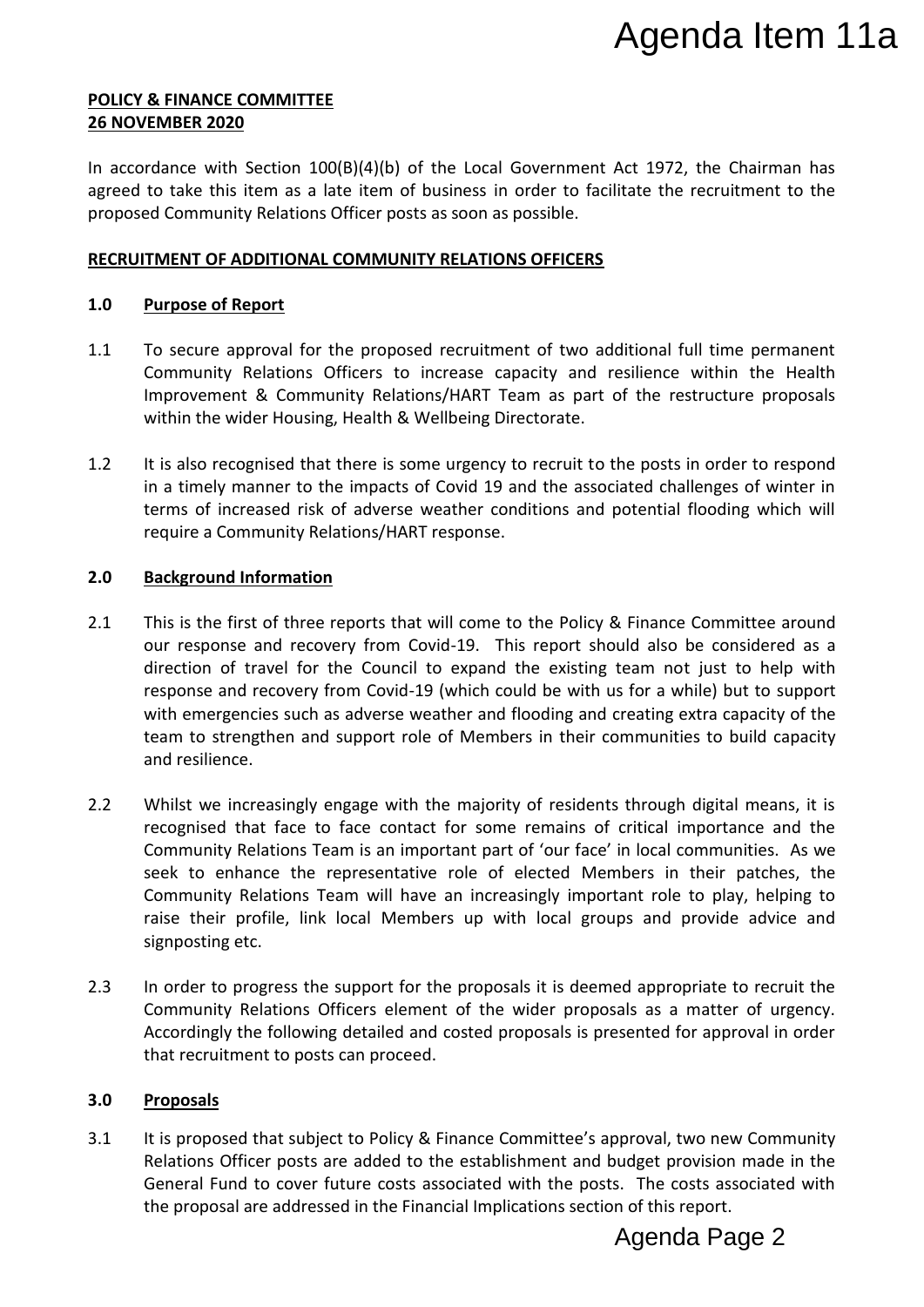#### **POLICY & FINANCE COMMITTEE 26 NOVEMBER 2020**

In accordance with Section  $100(B)(4)(b)$  of the Local Government Act 1972, the Chairman has agreed to take this item as a late item of business in order to facilitate the recruitment to the proposed Community Relations Officer posts as soon as possible.

## **RECRUITMENT OF ADDITIONAL COMMUNITY RELATIONS OFFICERS**

## **1.0 Purpose of Report**

- 1.1 To secure approval for the proposed recruitment of two additional full time permanent Community Relations Officers to increase capacity and resilience within the Health Improvement & Community Relations/HART Team as part of the restructure proposals within the wider Housing, Health & Wellbeing Directorate.
- 1.2 It is also recognised that there is some urgency to recruit to the posts in order to respond in a timely manner to the impacts of Covid 19 and the associated challenges of winter in terms of increased risk of adverse weather conditions and potential flooding which will require a Community Relations/HART response.

## **2.0 Background Information**

- 2.1 This is the first of three reports that will come to the Policy & Finance Committee around our response and recovery from Covid-19. This report should also be considered as a direction of travel for the Council to expand the existing team not just to help with response and recovery from Covid-19 (which could be with us for a while) but to support with emergencies such as adverse weather and flooding and creating extra capacity of the team to strengthen and support role of Members in their communities to build capacity and resilience.
- 2.2 Whilst we increasingly engage with the majority of residents through digital means, it is recognised that face to face contact for some remains of critical importance and the Community Relations Team is an important part of 'our face' in local communities. As we seek to enhance the representative role of elected Members in their patches, the Community Relations Team will have an increasingly important role to play, helping to raise their profile, link local Members up with local groups and provide advice and signposting etc. Agenda Item 11a<br>
Act 1972, the Chairman has<br>
ditate the recruitment to the<br>
ditate the recruitment to the<br>
distinct within the Health<br>
of the restructure proposals<br>
the posts in order to respond<br>
iated challenges of winter
- 2.3 In order to progress the support for the proposals it is deemed appropriate to recruit the Community Relations Officers element of the wider proposals as a matter of urgency. Accordingly the following detailed and costed proposals is presented for approval in order that recruitment to posts can proceed.

### **3.0 Proposals**

3.1 It is proposed that subject to Policy & Finance Committee's approval, two new Community Relations Officer posts are added to the establishment and budget provision made in the General Fund to cover future costs associated with the posts. The costs associated with the proposal are addressed in the Financial Implications section of this report.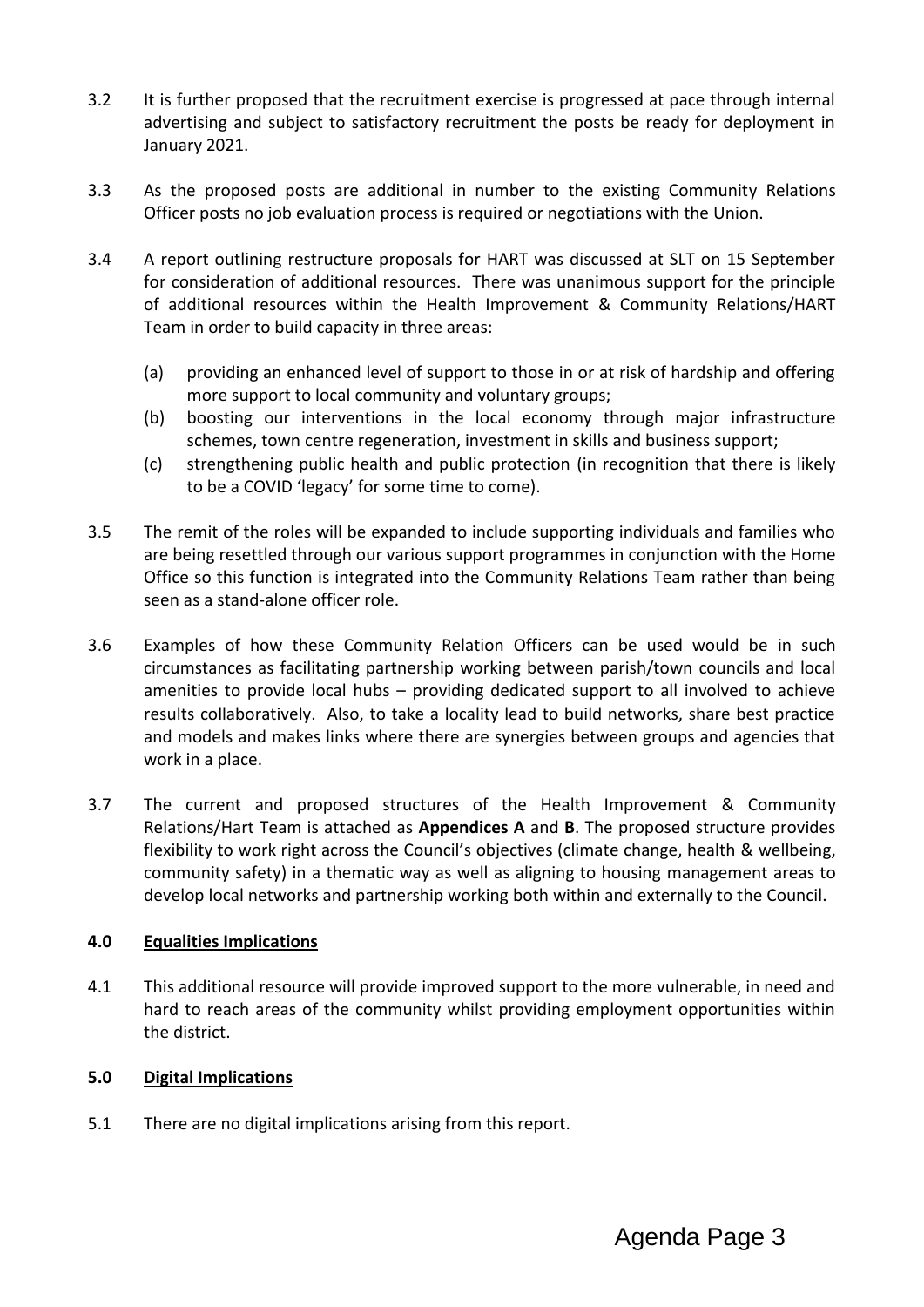- 3.2 It is further proposed that the recruitment exercise is progressed at pace through internal advertising and subject to satisfactory recruitment the posts be ready for deployment in January 2021.
- 3.3 As the proposed posts are additional in number to the existing Community Relations Officer posts no job evaluation process is required or negotiations with the Union.
- 3.4 A report outlining restructure proposals for HART was discussed at SLT on 15 September for consideration of additional resources. There was unanimous support for the principle of additional resources within the Health Improvement & Community Relations/HART Team in order to build capacity in three areas:
	- (a) providing an enhanced level of support to those in or at risk of hardship and offering more support to local community and voluntary groups;
	- (b) boosting our interventions in the local economy through major infrastructure schemes, town centre regeneration, investment in skills and business support;
	- (c) strengthening public health and public protection (in recognition that there is likely to be a COVID 'legacy' for some time to come).
- 3.5 The remit of the roles will be expanded to include supporting individuals and families who are being resettled through our various support programmes in conjunction with the Home Office so this function is integrated into the Community Relations Team rather than being seen as a stand-alone officer role.
- 3.6 Examples of how these Community Relation Officers can be used would be in such circumstances as facilitating partnership working between parish/town councils and local amenities to provide local hubs – providing dedicated support to all involved to achieve results collaboratively. Also, to take a locality lead to build networks, share best practice and models and makes links where there are synergies between groups and agencies that work in a place.
- 3.7 The current and proposed structures of the Health Improvement & Community Relations/Hart Team is attached as **Appendices A** and **B**. The proposed structure provides flexibility to work right across the Council's objectives (climate change, health & wellbeing, community safety) in a thematic way as well as aligning to housing management areas to develop local networks and partnership working both within and externally to the Council.

# **4.0 Equalities Implications**

4.1 This additional resource will provide improved support to the more vulnerable, in need and hard to reach areas of the community whilst providing employment opportunities within the district.

# **5.0 Digital Implications**

5.1 There are no digital implications arising from this report.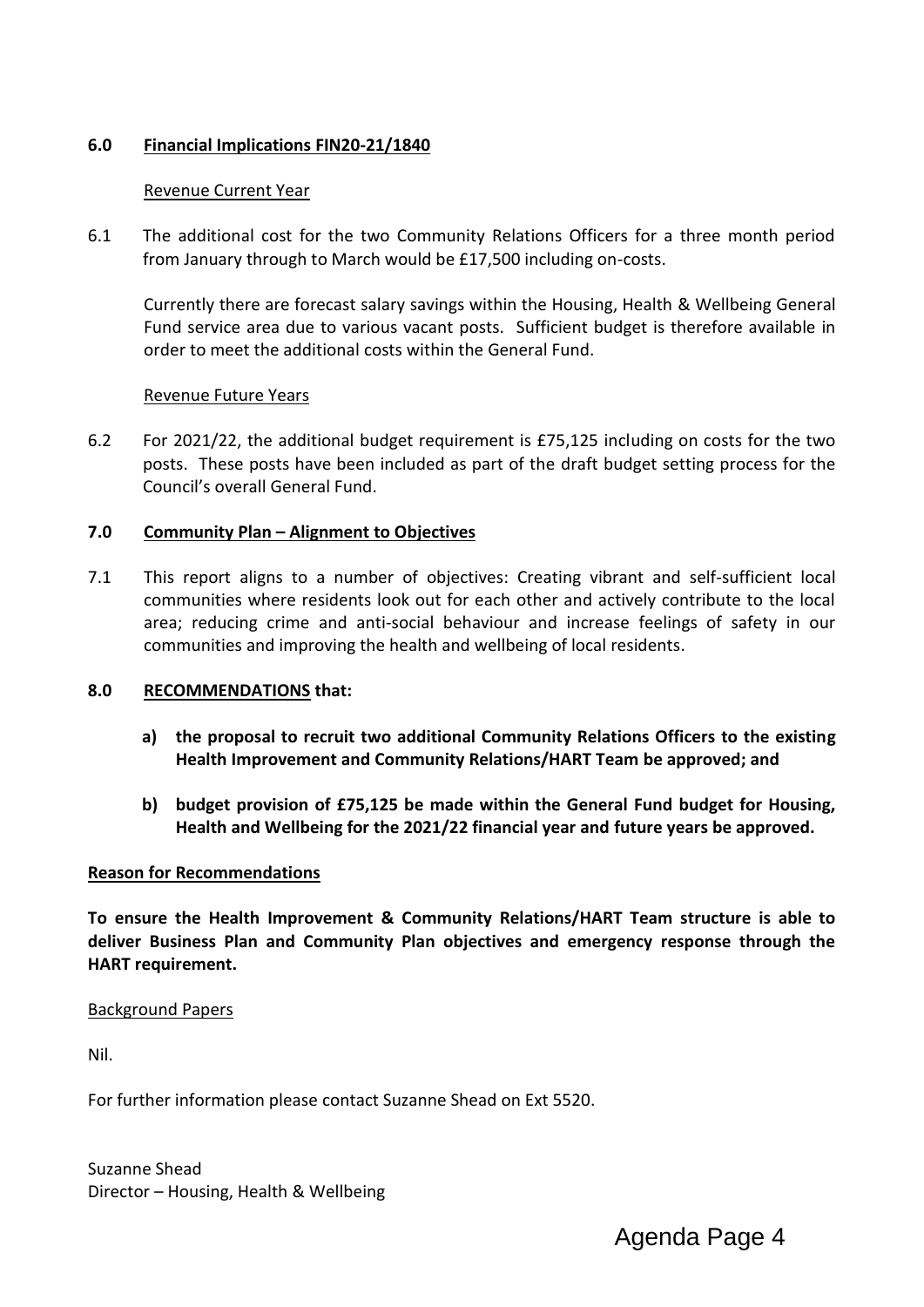# **6.0 Financial Implications FIN20-21/1840**

# Revenue Current Year

6.1 The additional cost for the two Community Relations Officers for a three month period from January through to March would be £17,500 including on-costs.

Currently there are forecast salary savings within the Housing, Health & Wellbeing General Fund service area due to various vacant posts. Sufficient budget is therefore available in order to meet the additional costs within the General Fund.

## Revenue Future Years

6.2 For 2021/22, the additional budget requirement is £75,125 including on costs for the two posts. These posts have been included as part of the draft budget setting process for the Council's overall General Fund.

# **7.0 Community Plan – Alignment to Objectives**

7.1 This report aligns to a number of objectives: Creating vibrant and self-sufficient local communities where residents look out for each other and actively contribute to the local area; reducing crime and anti-social behaviour and increase feelings of safety in our communities and improving the health and wellbeing of local residents.

### **8.0 RECOMMENDATIONS that:**

- **a) the proposal to recruit two additional Community Relations Officers to the existing Health Improvement and Community Relations/HART Team be approved; and**
- **b) budget provision of £75,125 be made within the General Fund budget for Housing, Health and Wellbeing for the 2021/22 financial year and future years be approved.**

### **Reason for Recommendations**

**To ensure the Health Improvement & Community Relations/HART Team structure is able to deliver Business Plan and Community Plan objectives and emergency response through the HART requirement.**

### Background Papers

Nil.

For further information please contact Suzanne Shead on Ext 5520.

Suzanne Shead Director – Housing, Health & Wellbeing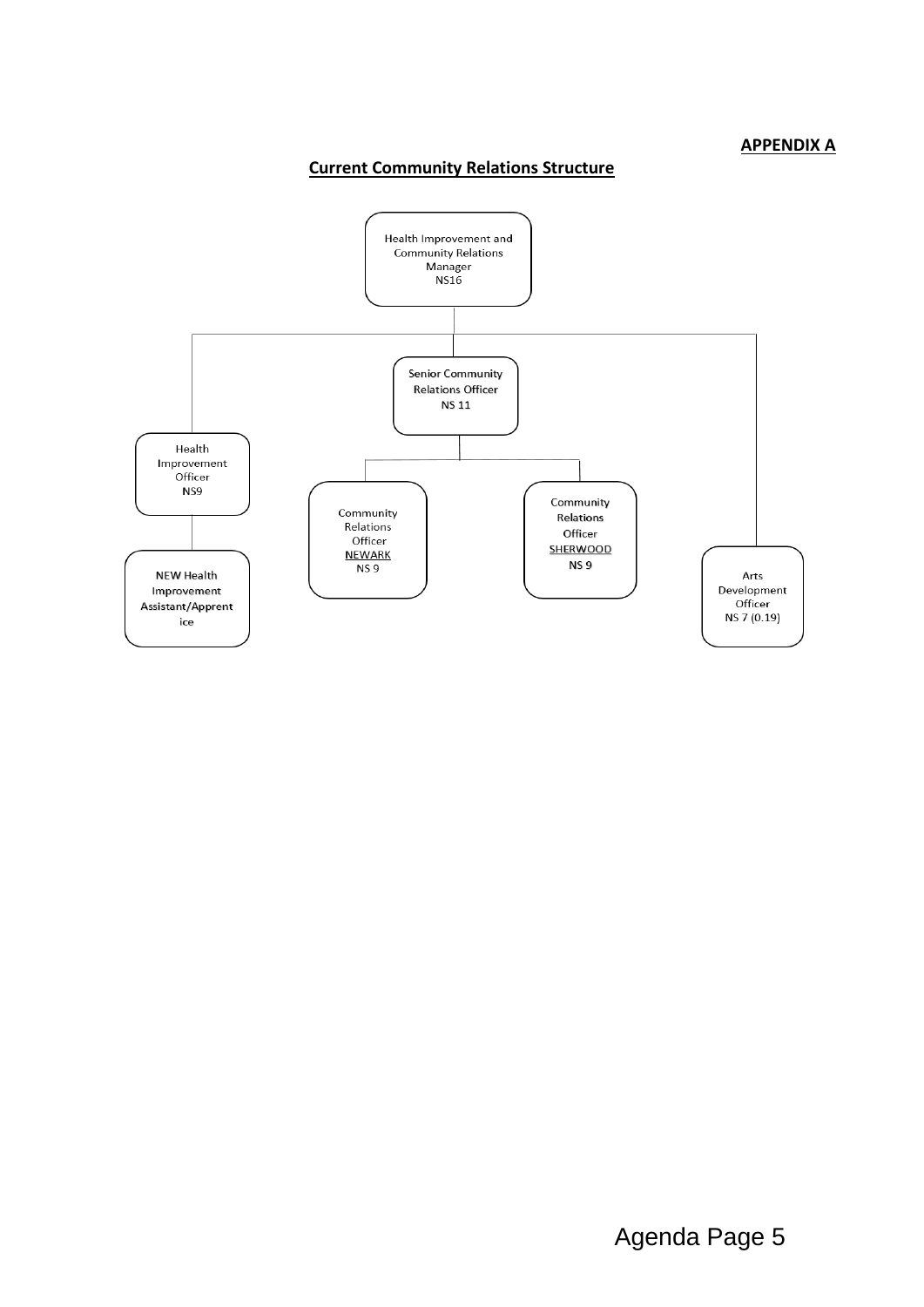### **APPENDIX A**

# **Current Community Relations Structure**